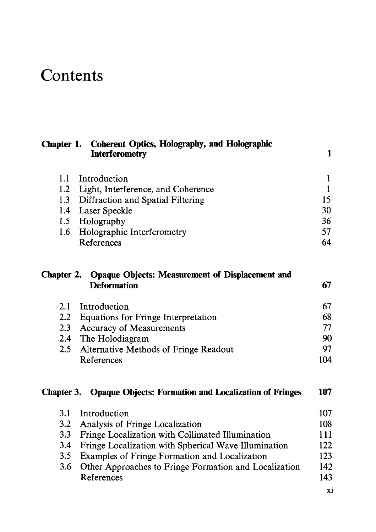## **Contents**

| Chapter 1.    | <b>Coherent Optics, Holography, and Holographic</b><br><b>Interferometry</b> | 1   |
|---------------|------------------------------------------------------------------------------|-----|
| 1.1           | Introduction                                                                 | 1   |
| 1.2           | Light, Interference, and Coherence                                           | 1   |
| 1.3           | Diffraction and Spatial Filtering                                            | 15  |
| 1.4           | Laser Speckle                                                                | 30  |
| 1.5           | Holography                                                                   | 36  |
| 1.6           | Holographic Interferometry                                                   | 57  |
|               | References                                                                   | 64  |
| Chapter 2.    | <b>Opaque Objects: Measurement of Displacement and</b><br><b>Deformation</b> | 67  |
| 2.1           | Introduction                                                                 | 67  |
| $2.2^{\circ}$ | Equations for Fringe Interpretation                                          | 68  |
| 2.3           | <b>Accuracy of Measurements</b>                                              | 77  |
| 2.4           | The Holodiagram                                                              | 90  |
| $2.5\,$       | Alternative Methods of Fringe Readout                                        | 97  |
|               | References                                                                   | 104 |
|               | <b>Chapter 3. Opaque Objects: Formation and Localization of Fringes</b>      | 107 |
| 3.1           | Introduction                                                                 | 107 |
| 3.2           | Analysis of Fringe Localization                                              | 108 |
| 3.3           | Fringe Localization with Collimated Illumination                             | 111 |
| 3.4           | Fringe Localization with Spherical Wave Illumination                         | 122 |
| 3.5           | Examples of Fringe Formation and Localization                                | 123 |
| 3.6           | Other Approaches to Fringe Formation and Localization                        | 142 |
|               | References                                                                   | 143 |

xi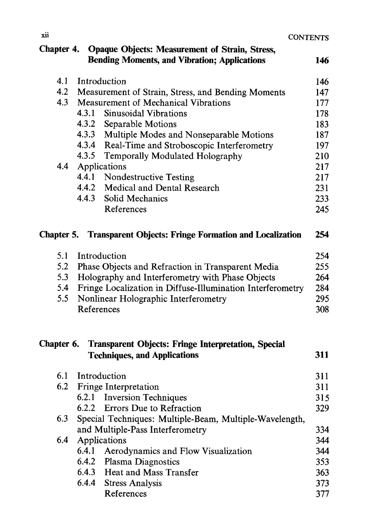| CONTENTS |  |  |
|----------|--|--|
|----------|--|--|

| <b>Opaque Objects: Measurement of Strain, Stress,</b><br>Chapter 4.<br><b>Bending Moments, and Vibration; Applications</b><br>146 |                                                                                                   |     |  |  |
|-----------------------------------------------------------------------------------------------------------------------------------|---------------------------------------------------------------------------------------------------|-----|--|--|
| 4.1                                                                                                                               | Introduction                                                                                      | 146 |  |  |
| 4.2                                                                                                                               | Measurement of Strain, Stress, and Bending Moments                                                | 147 |  |  |
| 4.3                                                                                                                               | Measurement of Mechanical Vibrations                                                              | 177 |  |  |
|                                                                                                                                   | 4.3.1<br>Sinusoidal Vibrations                                                                    | 178 |  |  |
|                                                                                                                                   | 4.3.2<br>Separable Motions                                                                        | 183 |  |  |
|                                                                                                                                   | 4.3.3<br>Multiple Modes and Nonseparable Motions                                                  | 187 |  |  |
|                                                                                                                                   | 4.3.4 Real-Time and Stroboscopic Interferometry                                                   | 197 |  |  |
|                                                                                                                                   | 4.3.5<br>Temporally Modulated Holography                                                          | 210 |  |  |
| 4.4                                                                                                                               | Applications                                                                                      | 217 |  |  |
|                                                                                                                                   | 4.4.1<br><b>Nondestructive Testing</b>                                                            | 217 |  |  |
|                                                                                                                                   | 4.4.2<br>Medical and Dental Research                                                              | 231 |  |  |
|                                                                                                                                   | 4.4.3<br>Solid Mechanics                                                                          | 233 |  |  |
|                                                                                                                                   | References                                                                                        | 245 |  |  |
| Chapter 5.                                                                                                                        | <b>Transparent Objects: Fringe Formation and Localization</b>                                     | 254 |  |  |
| 5.1                                                                                                                               | Introduction                                                                                      | 254 |  |  |
| 5.2                                                                                                                               | Phase Objects and Refraction in Transparent Media                                                 | 255 |  |  |
| 5.3                                                                                                                               | Holography and Interferometry with Phase Objects                                                  | 264 |  |  |
| 5.4                                                                                                                               | Fringe Localization in Diffuse-Illumination Interferometry                                        | 284 |  |  |
| 5.5                                                                                                                               | Nonlinear Holographic Interferometry                                                              | 295 |  |  |
|                                                                                                                                   | References                                                                                        | 308 |  |  |
| Chapter 6.                                                                                                                        | <b>Transparent Objects: Fringe Interpretation, Special</b><br><b>Techniques, and Applications</b> | 311 |  |  |
| 6.1                                                                                                                               | Introduction                                                                                      | 311 |  |  |
| 6.2                                                                                                                               | Fringe Interpretation                                                                             | 311 |  |  |
|                                                                                                                                   | <b>Inversion Techniques</b><br>6.2.1                                                              | 315 |  |  |
|                                                                                                                                   | 6.2.2 Errors Due to Refraction                                                                    | 329 |  |  |
| 6.3                                                                                                                               | Special Techniques: Multiple-Beam, Multiple-Wavelength,                                           |     |  |  |
|                                                                                                                                   | and Multiple-Pass Interferometry                                                                  | 334 |  |  |
| 6.4                                                                                                                               | Applications                                                                                      | 344 |  |  |
|                                                                                                                                   | 6.4.1<br>Aerodynamics and Flow Visualization                                                      | 344 |  |  |
|                                                                                                                                   | 6.4.2<br>Plasma Diagnostics                                                                       | 353 |  |  |
|                                                                                                                                   | 6.4.3 Heat and Mass Transfer                                                                      | 363 |  |  |
|                                                                                                                                   | 6.4.4<br><b>Stress Analysis</b>                                                                   | 373 |  |  |
|                                                                                                                                   | References                                                                                        | 377 |  |  |